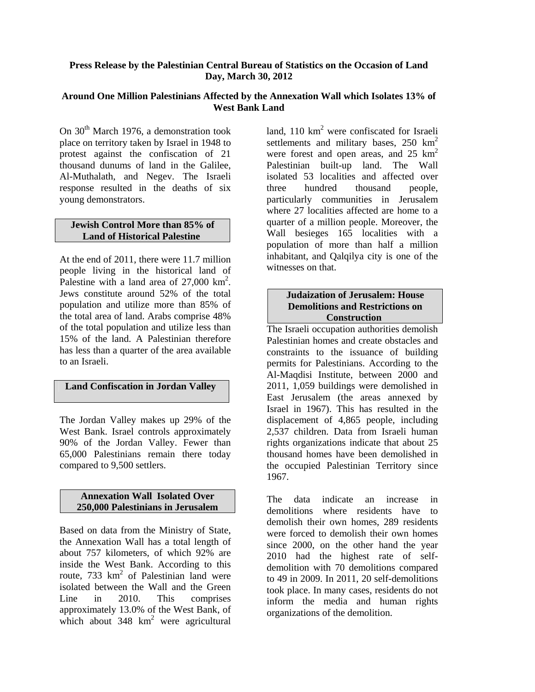# **Press Release by the Palestinian Central Bureau of Statistics on the Occasion of Land Day, March 30, 2012**

### **Around One Million Palestinians Affected by the Annexation Wall which Isolates 13% of West Bank Land**

On 30<sup>th</sup> March 1976, a demonstration took place on territory taken by Israel in 1948 to protest against the confiscation of 21 thousand dunums of land in the Galilee, Al-Muthalath, and Negev. The Israeli response resulted in the deaths of six young demonstrators.

### **Jewish Control More than 85% of Land of Historical Palestine**

At the end of 2011, there were 11.7 million people living in the historical land of Palestine with a land area of  $27,000$  km<sup>2</sup>. Jews constitute around 52% of the total population and utilize more than 85% of the total area of land. Arabs comprise 48% of the total population and utilize less than 15% of the land. A Palestinian therefore has less than a quarter of the area available to an Israeli.

# **Land Confiscation in Jordan Valley**

The Jordan Valley makes up 29% of the West Bank. Israel controls approximately 90% of the Jordan Valley. Fewer than 65,000 Palestinians remain there today compared to 9,500 settlers.

#### **Annexation Wall Isolated Over 250,000 Palestinians in Jerusalem**

Based on data from the Ministry of State, the Annexation Wall has a total length of about 757 kilometers, of which 92% are inside the West Bank. According to this route,  $733 \text{ km}^2$  of Palestinian land were isolated between the Wall and the Green Line in 2010. This comprises approximately 13.0% of the West Bank, of which about 348 km<sup>2</sup> were agricultural

land,  $110 \text{ km}^2$  were confiscated for Israeli settlements and military bases,  $250 \text{ km}^2$ were forest and open areas, and  $25 \text{ km}^2$ Palestinian built-up land. The Wall isolated 53 localities and affected over three hundred thousand people, particularly communities in Jerusalem where 27 localities affected are home to a quarter of a million people. Moreover, the Wall besieges 165 localities with a population of more than half a million inhabitant, and Qalqilya city is one of the witnesses on that.

# **Judaization of Jerusalem: House Demolitions and Restrictions on Construction**

The Israeli occupation authorities demolish Palestinian homes and create obstacles and constraints to the issuance of building permits for Palestinians. According to the Al-Maqdisi Institute, between 2000 and 2011, 1,059 buildings were demolished in East Jerusalem (the areas annexed by Israel in 1967). This has resulted in the displacement of 4,865 people, including 2,537 children. Data from Israeli human rights organizations indicate that about 25 thousand homes have been demolished in the occupied Palestinian Territory since 1967.

The data indicate an increase in demolitions where residents have to demolish their own homes, 289 residents were forced to demolish their own homes since 2000, on the other hand the year 2010 had the highest rate of selfdemolition with 70 demolitions compared to 49 in 2009. In 2011, 20 self-demolitions took place. In many cases, residents do not inform the media and human rights organizations of the demolition.